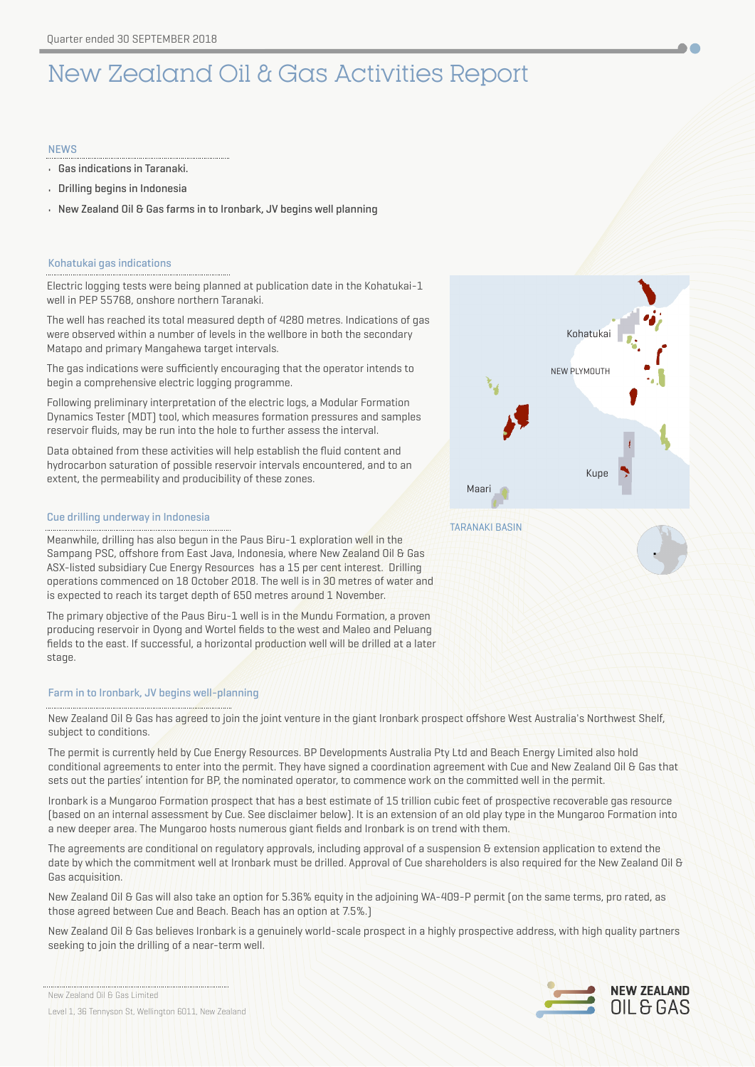# New Zealand Oil & Gas Activities Report

# **NFWS**

- Gas indications in Taranaki.
- Drilling begins in Indonesia
- New Zealand Oil & Gas farms in to Ironbark, JV begins well planning

# Kohatukai gas indications

Electric logging tests were being planned at publication date in the Kohatukai-1 well in PEP 55768, onshore northern Taranaki.

The well has reached its total measured depth of 4280 metres. Indications of gas were observed within a number of levels in the wellbore in both the secondary Matapo and primary Mangahewa target intervals.

The gas indications were sufficiently encouraging that the operator intends to begin a comprehensive electric logging programme.

Following preliminary interpretation of the electric logs, a Modular Formation Dynamics Tester (MDT) tool, which measures formation pressures and samples reservoir fluids, may be run into the hole to further assess the interval.

Data obtained from these activities will help establish the fluid content and hydrocarbon saturation of possible reservoir intervals encountered, and to an extent, the permeability and producibility of these zones.

# Cue drilling underway in Indonesia

Meanwhile, drilling has also begun in the Paus Biru-1 exploration well in the Sampang PSC, offshore from East Java, Indonesia, where New Zealand Oil & Gas ASX-listed subsidiary Cue Energy Resources has a 15 per cent interest. Drilling operations commenced on 18 October 2018. The well is in 30 metres of water and is expected to reach its target depth of 650 metres around 1 November.

The primary objective of the Paus Biru-1 well is in the Mundu Formation, a proven producing reservoir in Oyong and Wortel fields to the west and Maleo and Peluang fields to the east. If successful, a horizontal production well will be drilled at a later stage.

# Farm in to Ironbark, JV begins well-planning

New Zealand Oil & Gas has agreed to join the joint venture in the giant Ironbark prospect offshore West Australia's Northwest Shelf, subject to conditions.

The permit is currently held by Cue Energy Resources. BP Developments Australia Pty Ltd and Beach Energy Limited also hold conditional agreements to enter into the permit. They have signed a coordination agreement with Cue and New Zealand Oil & Gas that sets out the parties' intention for BP, the nominated operator, to commence work on the committed well in the permit.

Ironbark is a Mungaroo Formation prospect that has a best estimate of 15 trillion cubic feet of prospective recoverable gas resource (based on an internal assessment by Cue. See disclaimer below). It is an extension of an old play type in the Mungaroo Formation into a new deeper area. The Mungaroo hosts numerous giant fields and Ironbark is on trend with them.

The agreements are conditional on regulatory approvals, including approval of a suspension & extension application to extend the date by which the commitment well at Ironbark must be drilled. Approval of Cue shareholders is also required for the New Zealand Oil & Gas acquisition.

New Zealand Oil & Gas will also take an option for 5.36% equity in the adjoining WA-409-P permit (on the same terms, pro rated, as those agreed between Cue and Beach. Beach has an option at 7.5%.)

New Zealand Oil & Gas believes Ironbark is a genuinely world-scale prospect in a highly prospective address, with high quality partners seeking to join the drilling of a near-term well.



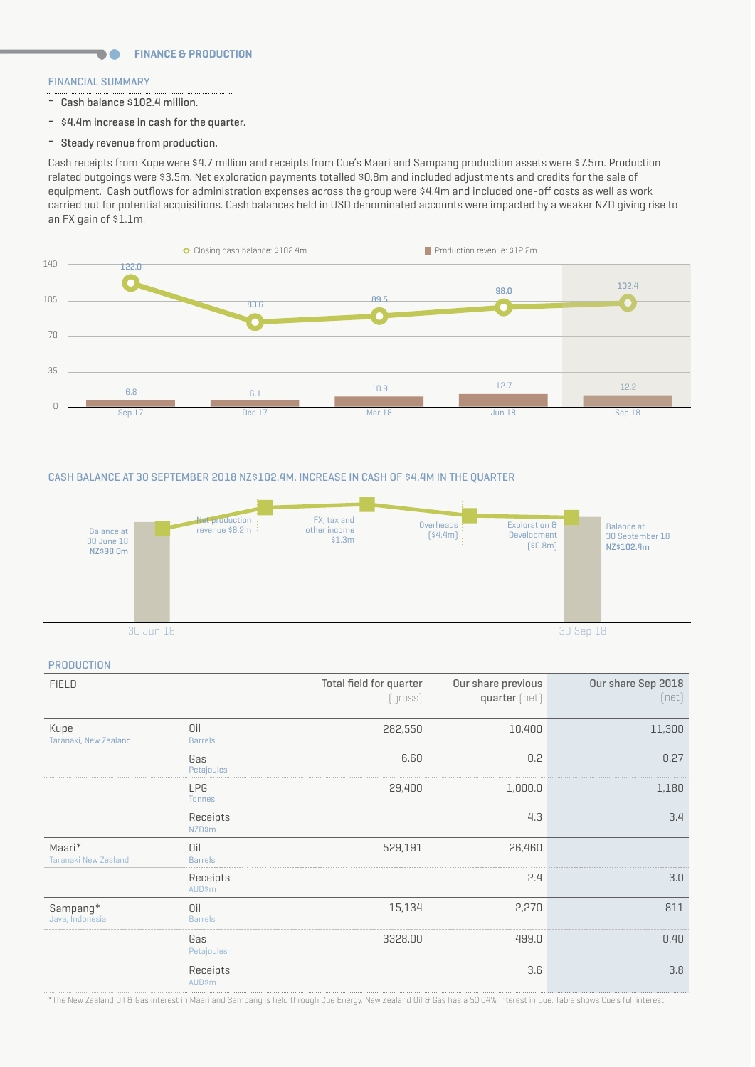# FINANCIAL SUMMARY

**DA** 

- Cash balance \$102.4 million.
- \$4.4m increase in cash for the quarter.
- Steady revenue from production.

Cash receipts from Kupe were \$4.7 million and receipts from Cue's Maari and Sampang production assets were \$7.5m. Production related outgoings were \$3.5m. Net exploration payments totalled \$0.8m and included adjustments and credits for the sale of equipment. Cash outflows for administration expenses across the group were \$4.4m and included one-off costs as well as work carried out for potential acquisitions. Cash balances held in USD denominated accounts were impacted by a weaker NZD giving rise to an FX gain of \$1.1m.



# CASH BALANCE AT 30 SEPTEMBER 2018 NZ\$102.4M. INCREASE IN CASH OF \$4.4M IN THE QUARTER



#### **PRODUCTION**

| <b>FIELD</b>                          |                             | Total field for quarter<br>$[qross]$ | Our share previous<br>quarter [net] | Our share Sep 2018<br>(net) |
|---------------------------------------|-----------------------------|--------------------------------------|-------------------------------------|-----------------------------|
| Kupe<br>Taranaki, New Zealand         | Oil<br><b>Barrels</b>       | 282,550                              | 10,400                              | 11,300                      |
|                                       | Gas<br>Petajoules           | 6.60                                 | 0.2                                 | 0.27                        |
|                                       | <b>LPG</b><br><b>Tonnes</b> | 29,400                               | 1,000.0                             | 1,180                       |
|                                       | Receipts<br><b>NZD\$m</b>   |                                      | 4.3                                 | 3.4                         |
| Maari*<br><b>Taranaki New Zealand</b> | Oil<br><b>Barrels</b>       | 529,191                              | 26,460                              |                             |
|                                       | Receipts<br><b>AUD\$m</b>   |                                      | 2.4                                 | 3.0                         |
| Sampang*<br>Java, Indonesia           | Oil<br><b>Barrels</b>       | 15,134                               | 2,270                               | 811                         |
|                                       | Gas<br>Petajoules           | 3328.00                              | 499.0                               | 0.40                        |
|                                       | Receipts<br><b>AUD\$m</b>   |                                      | 3.6                                 | 3.8                         |

\*The New Zealand Oil & Gas interest in Maari and Sampang is held through Cue Energy. New Zealand Oil & Gas has a 50.04% interest in Cue. Table shows Cue's full interest.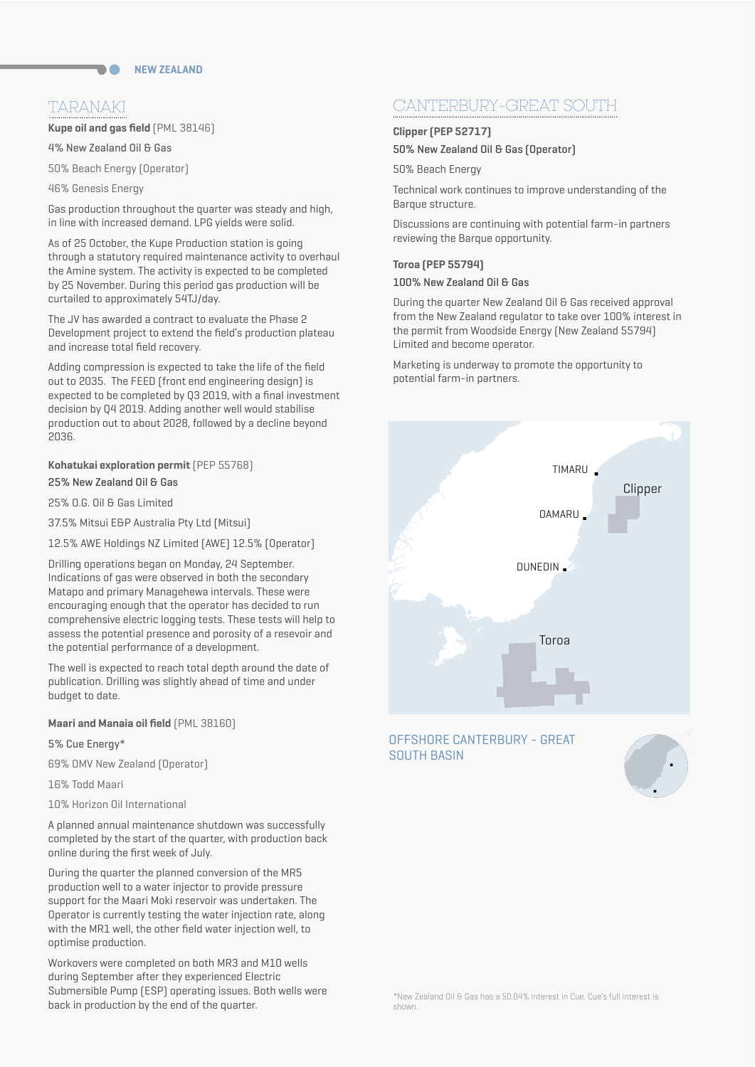# TARANAKI

**Kupe oil and gas field** (PML 38146)

4% New Zealand Oil & Gas

50% Beach Energy (Operator)

46% Genesis Energy

Gas production throughout the quarter was steady and high, in line with increased demand. LPG yields were solid.

As of 25 October, the Kupe Production station is going through a statutory required maintenance activity to overhaul the Amine system. The activity is expected to be completed by 25 November. During this period gas production will be curtailed to approximately 54TJ/day.

The JV has awarded a contract to evaluate the Phase 2 Development project to extend the field's production plateau and increase total field recovery.

Adding compression is expected to take the life of the field out to 2035. The FEED (front end engineering design) is expected to be completed by Q3 2019, with a final investment decision by Q4 2019. Adding another well would stabilise production out to about 2028, followed by a decline beyond 2036.

# 25% New Zealand Oil & Gas

25% O.G. Oil & Gas Limited

37.5% Mitsui E&P Australia Pty Ltd (Mitsui)

12.5% AWE Holdings NZ Limited (AWE) 12.5% (Operator)

Drilling operations began on Monday, 24 September. Indications of gas were observed in both the secondary Matapo and primary Managehewa intervals. These were encouraging enough that the operator has decided to run comprehensive electric logging tests. These tests will help to assess the potential presence and porosity of a resevoir and the potential performance of a development.

The well is expected to reach total depth around the date of publication. Drilling was slightly ahead of time and under budget to date.

# **Maari and Manaia oil field** (PML 38160)

## 5% Cue Energy\*

69% OMV New Zealand (Operator)

16% Todd Maari

10% Horizon Oil International

A planned annual maintenance shutdown was successfully completed by the start of the quarter, with production back online during the first week of July.

During the quarter the planned conversion of the MR5 production well to a water injector to provide pressure support for the Maari Moki reservoir was undertaken. The Operator is currently testing the water injection rate, along with the MR1 well, the other field water injection well, to optimise production.

Workovers were completed on both MR3 and M10 wells during September after they experienced Electric Submersible Pump (ESP) operating issues. Both wells were back in production by the end of the quarter.

# CANTERBURY-GREAT SOUTH

# **Clipper (PEP 52717)**

50% New Zealand Oil & Gas (Operator)

50% Beach Energy

Technical work continues to improve understanding of the Barque structure.

Discussions are continuing with potential farm-in partners reviewing the Barque opportunity.

# **Toroa (PEP 55794)**

# 100% New Zealand Oil & Gas

During the quarter New Zealand Oil & Gas received approval from the New Zealand regulator to take over 100% interest in the permit from Woodside Energy (New Zealand 55794) Limited and become operator.

Marketing is underway to promote the opportunity to potential farm-in partners.



# OFFSHORE CANTERBURY - GREAT SOUTH BASIN

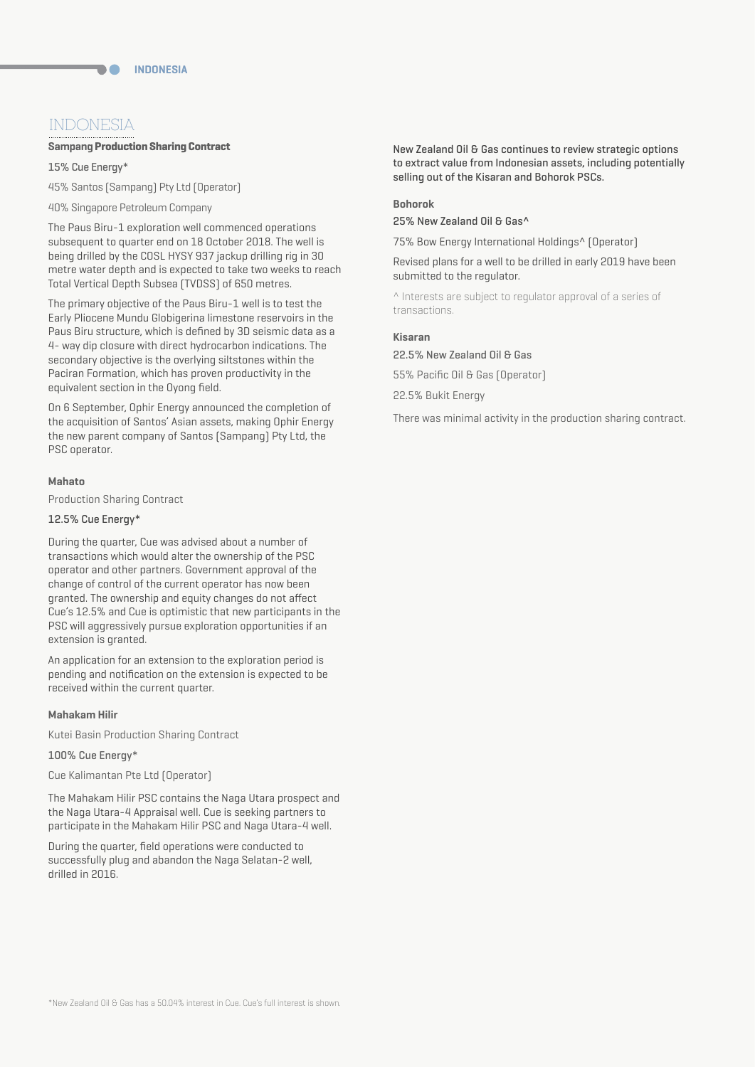# INDONESIA

# **Sampang Production Sharing Contract**

15% Cue Energy\*

45% Santos (Sampang) Pty Ltd (Operator)

40% Singapore Petroleum Company

The Paus Biru-1 exploration well commenced operations subsequent to quarter end on 18 October 2018. The well is being drilled by the COSL HYSY 937 jackup drilling rig in 30 metre water depth and is expected to take two weeks to reach Total Vertical Depth Subsea (TVDSS) of 650 metres.

The primary objective of the Paus Biru-1 well is to test the Early Pliocene Mundu Globigerina limestone reservoirs in the Paus Biru structure, which is defined by 3D seismic data as a 4- way dip closure with direct hydrocarbon indications. The secondary objective is the overlying siltstones within the Paciran Formation, which has proven productivity in the equivalent section in the Oyong field.

On 6 September, Ophir Energy announced the completion of the acquisition of Santos' Asian assets, making Ophir Energy the new parent company of Santos (Sampang) Pty Ltd, the PSC operator.

# **Mahato**

Production Sharing Contract

# 12.5% Cue Energy\*

During the quarter, Cue was advised about a number of transactions which would alter the ownership of the PSC operator and other partners. Government approval of the change of control of the current operator has now been granted. The ownership and equity changes do not affect Cue's 12.5% and Cue is optimistic that new participants in the PSC will aggressively pursue exploration opportunities if an extension is granted.

An application for an extension to the exploration period is pending and notification on the extension is expected to be received within the current quarter.

# **Mahakam Hilir**

Kutei Basin Production Sharing Contract

100% Cue Energy\*

Cue Kalimantan Pte Ltd (Operator)

The Mahakam Hilir PSC contains the Naga Utara prospect and the Naga Utara-4 Appraisal well. Cue is seeking partners to participate in the Mahakam Hilir PSC and Naga Utara-4 well.

During the quarter, field operations were conducted to successfully plug and abandon the Naga Selatan-2 well, drilled in 2016.

New Zealand Oil & Gas continues to review strategic options to extract value from Indonesian assets, including potentially selling out of the Kisaran and Bohorok PSCs.

# **Bohorok**

25% New Zealand Oil & Gas^

75% Bow Energy International Holdings^ (Operator)

Revised plans for a well to be drilled in early 2019 have been submitted to the regulator.

^ Interests are subject to regulator approval of a series of transactions.

# **Kisaran**

22.5% New Zealand Oil & Gas

55% Pacific Oil & Gas (Operator)

22.5% Bukit Energy

There was minimal activity in the production sharing contract.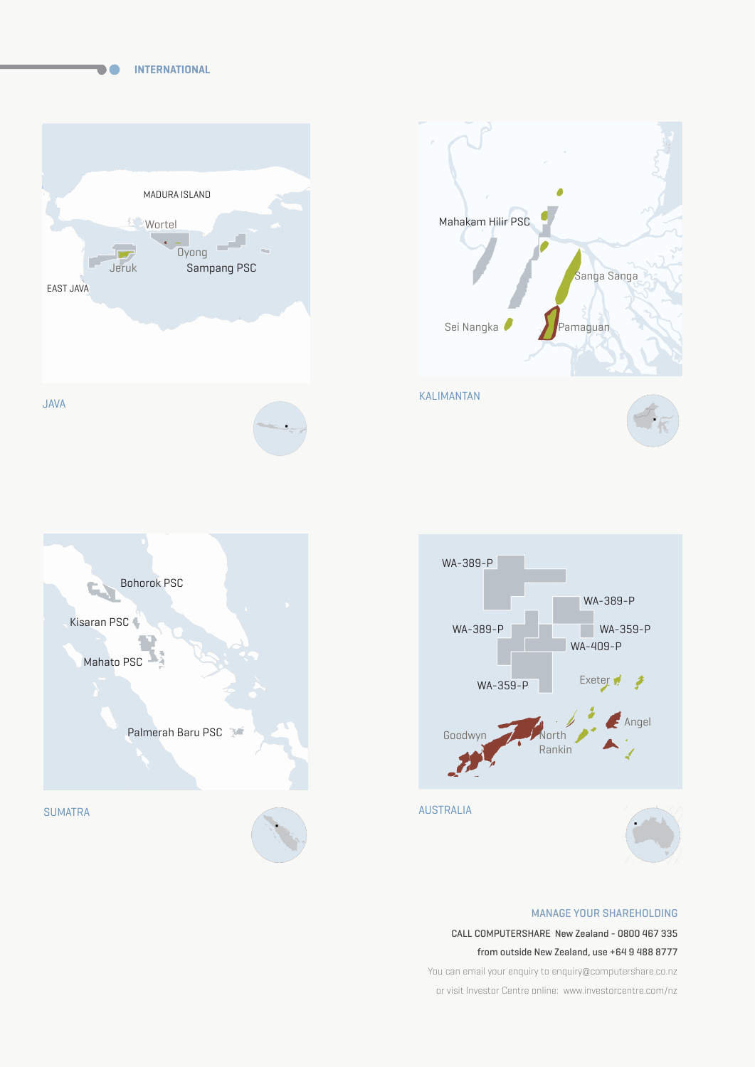**INTERNATIONAL**









# MANAGE YOUR SHAREHOLDING

CALL COMPUTERSHARE New Zealand - 0800 467 335

from outside New Zealand, use +64 9 488 8777

You can email your enquiry to enquiry@computershare.co.nz or visit Investor Centre online: www.investorcentre.com/nz